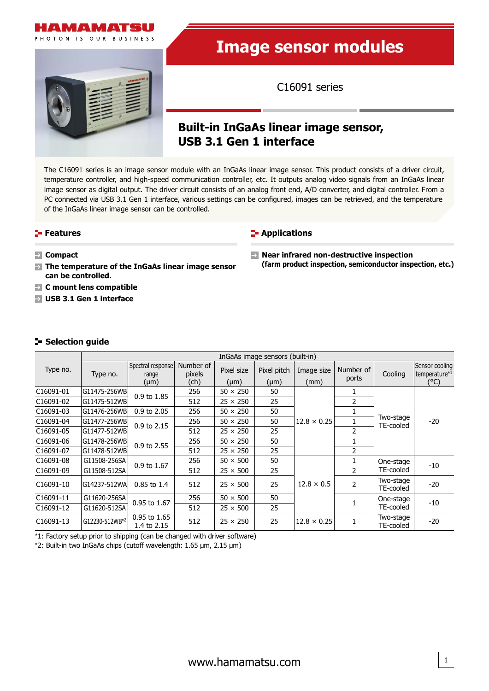

PHOTON IS OUR BUSINESS



# **Image sensor modules**

C16091 series

# **Built-in InGaAs linear image sensor, USB 3.1 Gen 1 interface**

The C16091 series is an image sensor module with an InGaAs linear image sensor. This product consists of a driver circuit, temperature controller, and high-speed communication controller, etc. It outputs analog video signals from an InGaAs linear image sensor as digital output. The driver circuit consists of an analog front end, A/D converter, and digital controller. From a PC connected via USB 3.1 Gen 1 interface, various settings can be configured, images can be retrieved, and the temperature of the InGaAs linear image sensor can be controlled.

#### **Features**



- **Compact**
- **The temperature of the InGaAs linear image sensor can be controlled.**
- **C mount lens compatible**
- **USB 3.1 Gen 1 interface**

**Near infrared non-destructive inspection (farm product inspection, semiconductor inspection, etc.)**

#### **Selection guide**

|                        |                |                                 |                     |                 | InGaAs image sensors (built-in) |                    |                |                        |                                             |
|------------------------|----------------|---------------------------------|---------------------|-----------------|---------------------------------|--------------------|----------------|------------------------|---------------------------------------------|
| Type no.               | Type no.       | Spectral response<br>range      | Number of<br>pixels | Pixel size      | Pixel pitch                     | Image size         | Number of      | Cooling                | Sensor cooling<br>temperature <sup>*1</sup> |
|                        |                | $(\mu m)$                       | (ch)                | $(\mu m)$       | $(\mu m)$                       | (mm)               | ports          |                        | $(^{\circ}C)$                               |
| C16091-01              | G11475-256WB   | 0.9 to 1.85                     | 256                 | $50 \times 250$ | 50                              |                    |                |                        |                                             |
| C <sub>16091</sub> -02 | G11475-512WB   |                                 | 512                 | $25 \times 250$ | 25                              |                    | 2              |                        |                                             |
| C16091-03              | G11476-256WB   | 0.9 to 2.05                     | 256                 | $50 \times 250$ | 50                              |                    |                |                        |                                             |
| C16091-04              | G11477-256WB   | 0.9 to 2.15                     | 256                 | $50 \times 250$ | 50                              | $12.8 \times 0.25$ |                | Two-stage<br>TE-cooled | $-20$                                       |
| C16091-05              | G11477-512WB   |                                 | 512                 | $25 \times 250$ | 25                              |                    | 2              |                        |                                             |
| C16091-06              | G11478-256WB   | 0.9 to 2.55                     | 256                 | $50 \times 250$ | 50                              |                    |                |                        |                                             |
| C16091-07              | G11478-512WB   |                                 | 512                 | $25 \times 250$ | 25                              |                    | $\overline{2}$ |                        |                                             |
| C16091-08              | G11508-256SA   | 0.9 to 1.67                     | 256                 | $50 \times 500$ | 50                              |                    |                | One-stage              | -10                                         |
| C16091-09              | G11508-512SA   |                                 | 512                 | $25 \times 500$ | 25                              |                    | $\mathcal{P}$  | TE-cooled              |                                             |
| C <sub>16091</sub> -10 | G14237-512WA   | $0.85$ to 1.4                   | 512                 | $25 \times 500$ | 25                              | $12.8 \times 0.5$  | 2              | Two-stage<br>TE-cooled | $-20$                                       |
| C16091-11              | G11620-256SA   | 0.95 to 1.67                    | 256                 | $50 \times 500$ | 50                              |                    |                | One-stage              | $-10$                                       |
| C16091-12              | G11620-512SA   |                                 | 512                 | $25 \times 500$ | 25                              |                    |                | TE-cooled              |                                             |
| C <sub>16091</sub> -13 | G12230-512WB*2 | $0.95$ to $1.65$<br>1.4 to 2.15 | 512                 | $25 \times 250$ | 25                              | $12.8 \times 0.25$ |                | Two-stage<br>TE-cooled | $-20$                                       |

\*1: Factory setup prior to shipping (can be changed with driver software)

\*2: Built-in two InGaAs chips (cutoff wavelength: 1.65 μm, 2.15 μm)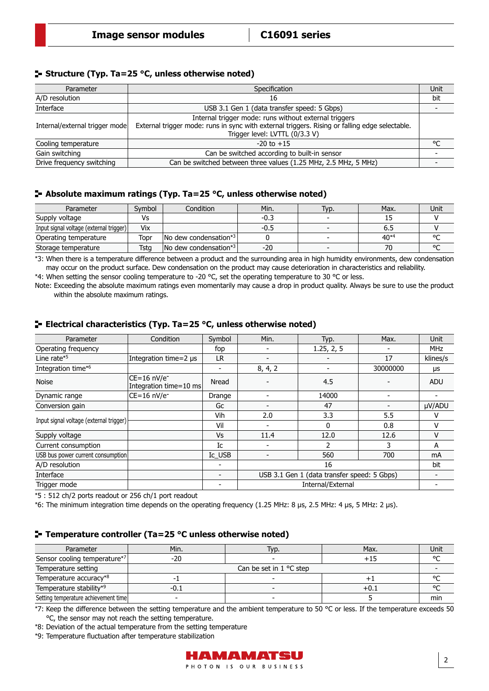#### **Structure (Typ. Ta=25 °C, unless otherwise noted)**

| Parameter                      | Specification                                                                                                                    | Unit |
|--------------------------------|----------------------------------------------------------------------------------------------------------------------------------|------|
| A/D resolution                 | 16                                                                                                                               | bit  |
| Interface                      | USB 3.1 Gen 1 (data transfer speed: 5 Gbps)                                                                                      |      |
|                                | Internal trigger mode: runs without external triggers                                                                            |      |
| Internal/external trigger mode | External trigger mode: runs in sync with external triggers. Rising or falling edge selectable.<br>Trigger level: LVTTL (0/3.3 V) |      |
| Cooling temperature            | $-20$ to $+15$                                                                                                                   | ٥٢   |
| Gain switching                 | Can be switched according to built-in sensor                                                                                     |      |
| Drive frequency switching      | Can be switched between three values (1.25 MHz, 2.5 MHz, 5 MHz)                                                                  |      |

#### **Absolute maximum ratings (Typ. Ta=25 °C, unless otherwise noted)**

| Parameter                               | Svmbol | Condition                                   | Min. | Typ.                     | Max.      | Unit   |
|-----------------------------------------|--------|---------------------------------------------|------|--------------------------|-----------|--------|
| Supply voltage                          |        |                                             | -0.3 | $\overline{\phantom{a}}$ |           |        |
| Input signal voltage (external trigger) | Vix    |                                             | -0.5 | $\overline{\phantom{0}}$ | כ.ס       |        |
| Operating temperature                   | Topr   | $\sqrt{2}$ No dew condensation*3            |      |                          | $40^{*4}$ | $\sim$ |
| Storage temperature                     | Tsta   | $\lfloor$ No dew condensation <sup>*3</sup> | -20  | $\overline{\phantom{0}}$ |           | $\sim$ |

\*3: When there is a temperature difference between a product and the surrounding area in high humidity environments, dew condensation may occur on the product surface. Dew condensation on the product may cause deterioration in characteristics and reliability.

\*4: When setting the sensor cooling temperature to -20 °C, set the operating temperature to 30 °C or less.

Note: Exceeding the absolute maximum ratings even momentarily may cause a drop in product quality. Always be sure to use the product within the absolute maximum ratings.

#### **ELECTRICAL CHARACTER (Typ. Ta=25 °C, unless otherwise noted)**

| Parameter                               | Condition                                           | Symbol | Min.    | Typ.                                        | Max.     | <b>Unit</b> |
|-----------------------------------------|-----------------------------------------------------|--------|---------|---------------------------------------------|----------|-------------|
| Operating frequency                     |                                                     | fop    |         | 1.25, 2, 5                                  |          | <b>MHz</b>  |
| Line rate*5                             | Integration time=2 µs                               | LR.    |         |                                             | 17       | klines/s    |
| Integration time* <sup>6</sup>          |                                                     | -      | 8, 4, 2 | $\overline{\phantom{a}}$                    | 30000000 | μs          |
| <b>Noise</b>                            | $CE=16$ nV/e <sup>-</sup><br>Integration time=10 ms | Nread  |         | 4.5                                         |          | <b>ADU</b>  |
| Dynamic range                           | CE=16 nV/e <sup>-</sup>                             | Drange |         | 14000                                       |          |             |
| Conversion gain                         |                                                     | Gc     |         | 47                                          |          | µV/ADU      |
|                                         |                                                     | Vih    | 2.0     | 3.3                                         | 5.5      | v           |
| Input signal voltage (external trigger) |                                                     | Vil    |         | 0                                           | 0.8      | v           |
| Supply voltage                          |                                                     | Vs     | 11.4    | 12.0                                        | 12.6     | v           |
| Current consumption                     |                                                     | Ic     |         | 2                                           | ٦        | A           |
| USB bus power current consumption       |                                                     | Ic USB |         | 560                                         | 700      | mA          |
| A/D resolution                          |                                                     |        |         | 16                                          |          | bit         |
| Interface                               |                                                     |        |         | USB 3.1 Gen 1 (data transfer speed: 5 Gbps) |          |             |
| Trigger mode                            |                                                     |        |         | Internal/External                           |          |             |

\*5 : 512 ch/2 ports readout or 256 ch/1 port readout

\*6: The minimum integration time depends on the operating frequency (1.25 MHz: 8 µs, 2.5 MHz: 4 µs, 5 MHz: 2 µs).

#### **Temperature controller (Ta=25 °C unless otherwise noted)**

| Parameter                                | Min. | Гур.                              | Max.   | Unit   |
|------------------------------------------|------|-----------------------------------|--------|--------|
| Sensor cooling temperature <sup>*7</sup> | -20  |                                   | +15    | $\sim$ |
| Temperature setting                      |      | Can be set in $1 \text{ °C}$ step |        |        |
| Temperature accuracy*8                   |      |                                   |        |        |
| Temperature stability*9                  | -0.1 | $\overline{\phantom{0}}$          | $+0.1$ |        |
| Setting temperature achievement time     |      |                                   |        | min    |

\*7: Keep the difference between the setting temperature and the ambient temperature to 50 °C or less. If the temperature exceeds 50 °C, the sensor may not reach the setting temperature.

\*8: Deviation of the actual temperature from the setting temperature

\*9: Temperature fluctuation after temperature stabilization

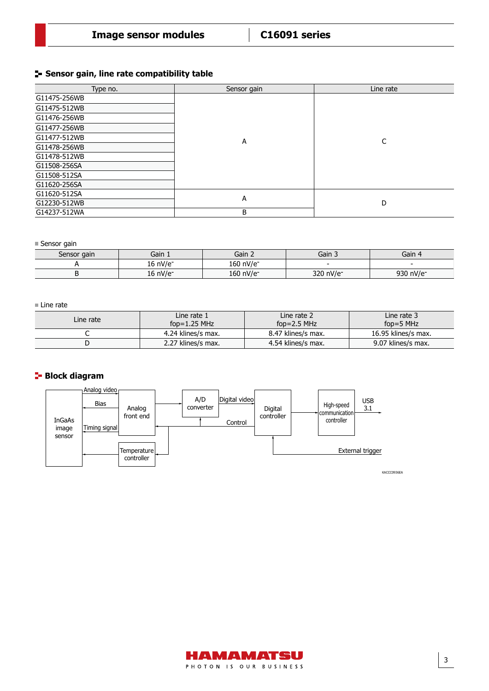#### **Sensor gain, line rate compatibility table**

| Type no.     | Sensor gain | Line rate |
|--------------|-------------|-----------|
| G11475-256WB |             |           |
| G11475-512WB |             |           |
| G11476-256WB |             |           |
| G11477-256WB |             |           |
| G11477-512WB | А           | C         |
| G11478-256WB |             |           |
| G11478-512WB |             |           |
| G11508-256SA |             |           |
| G11508-512SA |             |           |
| G11620-256SA |             |           |
| G11620-512SA |             |           |
| G12230-512WB | А           | D         |
| G14237-512WA | B           |           |

■ Sensor gain

| Sensor gain | Gain 1               | Gain 2                | Gain 3                   | Gain                  |
|-------------|----------------------|-----------------------|--------------------------|-----------------------|
|             | 16 nV/e <sup>-</sup> | 160 nV/e <sup>-</sup> | $\overline{\phantom{0}}$ |                       |
|             | 16 nV/e <sup>-</sup> | 160 nV/e <sup>-</sup> | 320 nV/e-                | 930 nV/e <sup>-</sup> |

#### ■ Line rate

| Line rate | Line rate 1<br>fop= $1.25$ MHz | Line rate 2<br>fop= $2.5$ MHz | Line rate 3<br>fop=5 $MHz$ |
|-----------|--------------------------------|-------------------------------|----------------------------|
|           | 4.24 klines/s max.             | 8.47 klines/s max.            | 16.95 klines/s max.        |
|           | 2.27 klines/s max.             | 4.54 klines/s max.            | 9.07 klines/s max.         |

## **Block diagram**



KACCC0936EA

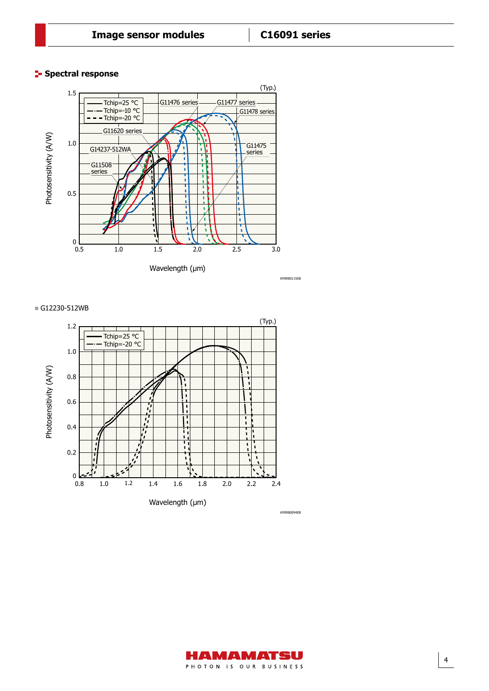#### **Spectral response**



#### G12230-512WB





4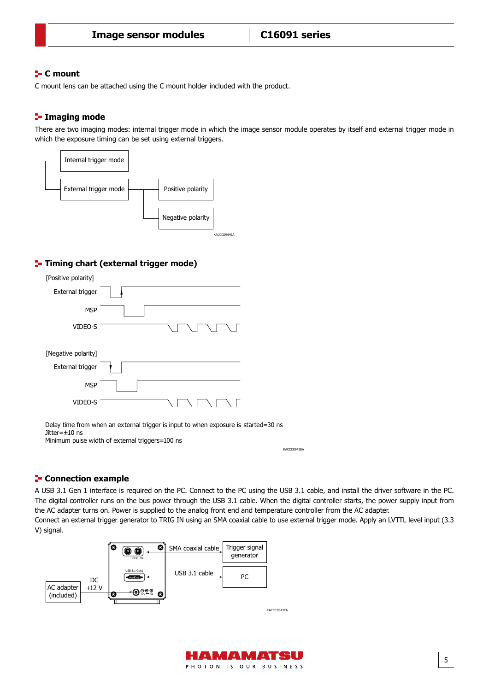#### **C mount**

C mount lens can be attached using the C mount holder included with the product.

## **Imaging mode**

There are two imaging modes: internal trigger mode in which the image sensor module operates by itself and external trigger mode in which the exposure timing can be set using external triggers.



## **T**- Timing chart (external trigger mode)

| [Positive polarity] |  |
|---------------------|--|
| External trigger    |  |
| <b>MSP</b>          |  |
| VIDEO-S             |  |
| [Negative polarity] |  |
| External trigger    |  |
| <b>MSP</b>          |  |
| VIDEO-S             |  |

Delay time from when an external trigger is input to when exposure is started=30 ns Jitter=±10 ns Minimum pulse width of external triggers=100 ns

KACCC0945EA

5

#### **Connection example**

A USB 3.1 Gen 1 interface is required on the PC. Connect to the PC using the USB 3.1 cable, and install the driver software in the PC. The digital controller runs on the bus power through the USB 3.1 cable. When the digital controller starts, the power supply input from the AC adapter turns on. Power is supplied to the analog front end and temperature controller from the AC adapter. Connect an external trigger generator to TRIG IN using an SMA coaxial cable to use external trigger mode. Apply an LVTTL level input (3.3 V) signal.



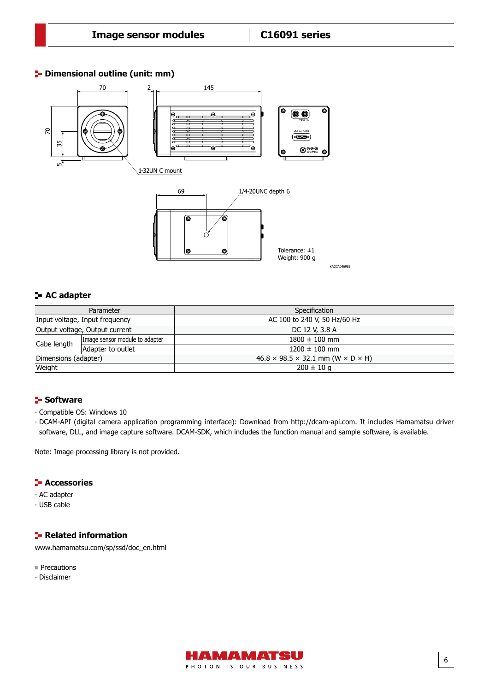#### **<sup>1</sup>** Dimensional outline (unit: mm)

Dimensional outline



## **AC adapter**

| Parameter                      |                                | Specification                                               |  |
|--------------------------------|--------------------------------|-------------------------------------------------------------|--|
| Input voltage, Input frequency |                                | AC 100 to 240 V, 50 Hz/60 Hz                                |  |
| Output voltage, Output current |                                | DC 12 V, 3.8 A                                              |  |
| Cabe length                    | Image sensor module to adapter | $1800 \pm 100$ mm                                           |  |
|                                | Adapter to outlet              | $1200 \pm 100$ mm                                           |  |
| Dimensions (adapter)           |                                | $46.8 \times 98.5 \times 32.1$ mm (W $\times$ D $\times$ H) |  |
| Weight                         |                                | $200 \pm 10$ g                                              |  |
|                                |                                |                                                             |  |

## **Software**

- ∙ Compatible OS: Windows 10
- ∙ DCAM-API (digital camera application programming interface): Download from [http://dcam-api.com. It](http://dcam-api.com) includes Hamamatsu driver software, DLL, and image capture software. DCAM-SDK, which includes the function manual and sample software, is available.

Note: Image processing library is not provided.

#### **F** Accessories

- ∙ AC adapter
- ∙ USB cable

#### **F** Related information

[www.hamamatsu.com/sp/ssd/doc\\_en.html](http://www.hamamatsu.com/sp/ssd/doc_en.html)

- **Precautions**
- ∙ Disclaimer